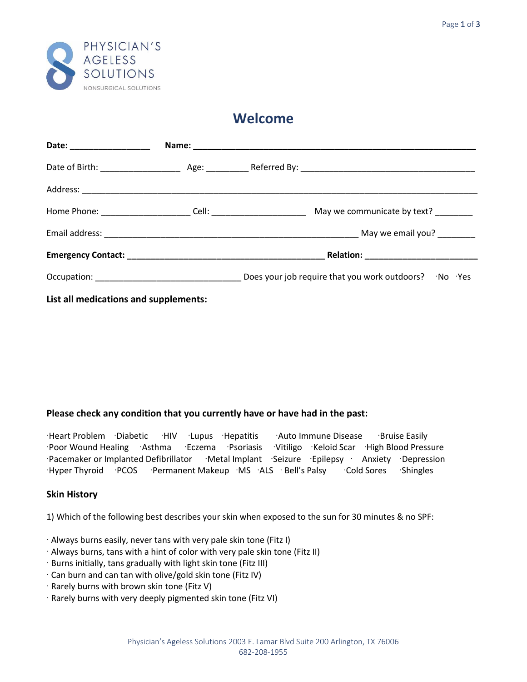

# **Welcome**

| Date: _____________________ |  |                                                      |
|-----------------------------|--|------------------------------------------------------|
|                             |  |                                                      |
|                             |  |                                                      |
|                             |  | May we communicate by text? ________                 |
|                             |  |                                                      |
|                             |  | _ Relation: ____________________________             |
|                             |  | Does your job require that you work outdoors? No Yes |

**List all medications and supplements:**

## **Please check any condition that you currently have or have had in the past:**

Heart Problem Diabetic HIV Lupus Hepatitis Auto Immune Disease Bruise Easily Poor Wound Healing Asthma Eczema Psoriasis Vitiligo Keloid Scar High Blood Pressure Pacemaker or Implanted Defibrillator Metal Implant Seizure Epilepsy Anxiety Depression Hyper Thyroid PCOS Permanent Makeup MS ALS Bell's Palsy Cold Sores Shingles

## **Skin History**

1) Which of the following best describes your skin when exposed to the sun for 30 minutes & no SPF:

- Always burns easily, never tans with very pale skin tone (Fitz I)
- Always burns, tans with a hint of color with very pale skin tone (Fitz II)
- Burns initially, tans gradually with light skin tone (Fitz III)
- Can burn and can tan with olive/gold skin tone (Fitz IV)
- $\cdot$  Rarely burns with brown skin tone (Fitz V)
- Rarely burns with very deeply pigmented skin tone (Fitz VI)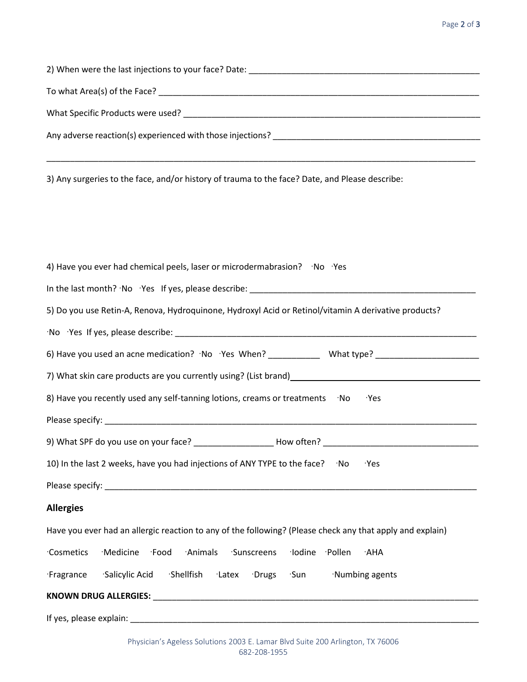#### Page 2 of 3

| 3) Any surgeries to the face, and/or history of trauma to the face? Date, and Please describe:                 |
|----------------------------------------------------------------------------------------------------------------|
|                                                                                                                |
| 4) Have you ever had chemical peels, laser or microdermabrasion? No Yes                                        |
|                                                                                                                |
| 5) Do you use Retin-A, Renova, Hydroquinone, Hydroxyl Acid or Retinol/vitamin A derivative products?           |
|                                                                                                                |
| 6) Have you used an acne medication? · No · Yes When? _____________ What type? _______________________________ |
|                                                                                                                |
| 8) Have you recently used any self-tanning lotions, creams or treatments No<br>۰Yes                            |
|                                                                                                                |
| 9) What SPF do you use on your face? _____________________How often? _______________________________           |

10) In the last 2 weeks, have you had injections of ANY TYPE to the face?  $\cdot$  No Yes

Please specify: \_\_\_\_\_\_\_\_\_\_\_\_\_\_\_\_\_\_\_\_\_\_\_\_\_\_\_\_\_\_\_\_\_\_\_\_\_\_\_\_\_\_\_\_\_\_\_\_\_\_\_\_\_\_\_\_\_\_\_\_\_\_\_\_\_\_\_\_\_\_\_\_\_\_\_\_\_\_\_

## **Allergies**

| Have you ever had an allergic reaction to any of the following? (Please check any that apply and explain) |  |
|-----------------------------------------------------------------------------------------------------------|--|
|-----------------------------------------------------------------------------------------------------------|--|

|  |  | Cosmetics Medicine Food Animals Sunscreens Iodine Pollen AHA |  |  |
|--|--|--------------------------------------------------------------|--|--|
|  |  |                                                              |  |  |

Fragrance Salicylic Acid Shellfish Latex Drugs Sun Numbing agents

## **KNOWN DRUG ALLERGIES:** \_\_\_\_\_\_\_\_\_\_\_\_\_\_\_\_\_\_\_\_\_\_\_\_\_\_\_\_\_\_\_\_\_\_\_\_\_\_\_\_\_\_\_\_\_\_\_\_\_\_\_\_\_\_\_\_\_\_\_\_\_\_\_\_\_\_\_\_\_

If yes, please explain: \_\_\_\_\_\_\_\_\_\_\_\_\_\_\_\_\_\_\_\_\_\_\_\_\_\_\_\_\_\_\_\_\_\_\_\_\_\_\_\_\_\_\_\_\_\_\_\_\_\_\_\_\_\_\_\_\_\_\_\_\_\_\_\_\_\_\_\_\_\_\_\_\_\_